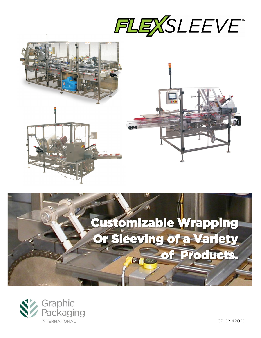







GPI02142020